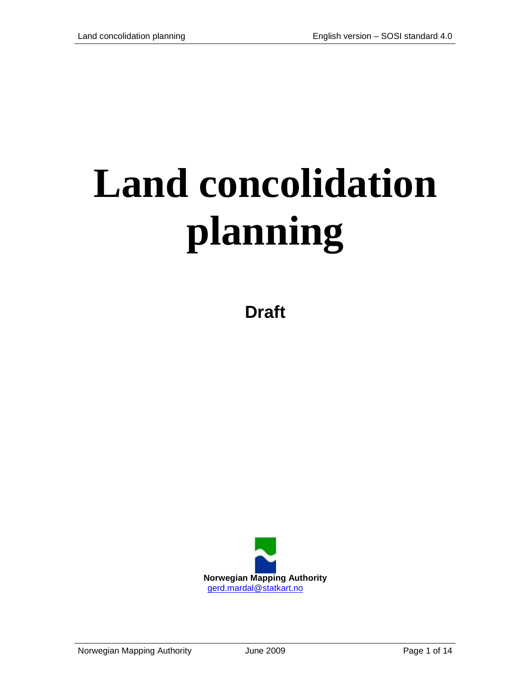# **Land concolidation planning**

**Draft**

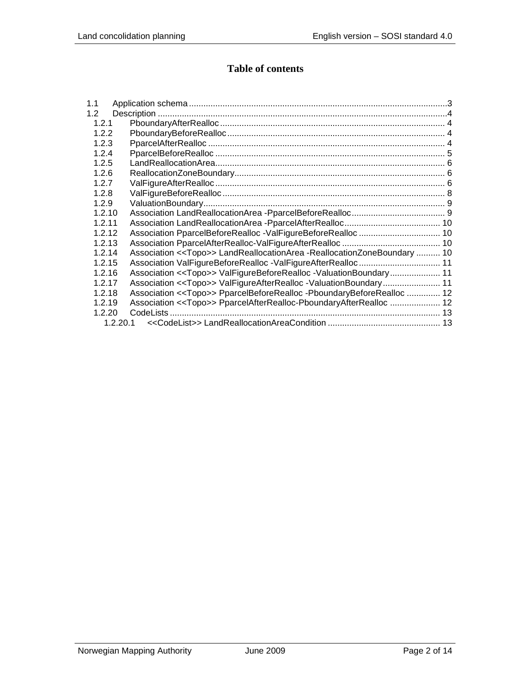# **Table of contents**

| 1.1           |                                                                                    |  |
|---------------|------------------------------------------------------------------------------------|--|
| $1.2^{\circ}$ |                                                                                    |  |
| 1.2.1         |                                                                                    |  |
| 1.2.2         |                                                                                    |  |
| 1.2.3         |                                                                                    |  |
| 1.2.4         |                                                                                    |  |
| 1.2.5         |                                                                                    |  |
| 1.2.6         |                                                                                    |  |
| 1.2.7         |                                                                                    |  |
| 1.2.8         |                                                                                    |  |
| 1.2.9         |                                                                                    |  |
| 1.2.10        |                                                                                    |  |
| 1.2.11        |                                                                                    |  |
| 1.2.12        |                                                                                    |  |
| 1.2.13        |                                                                                    |  |
| 1.2.14        | Association < <topo>&gt; LandReallocationArea -ReallocationZoneBoundary  10</topo> |  |
| 1.2.15        |                                                                                    |  |
| 1.2.16        | Association < <topo>&gt; ValFigureBeforeRealloc -ValuationBoundary 11</topo>       |  |
| 1.2.17        | Association << Topo>> ValFigureAfterRealloc -ValuationBoundary 11                  |  |
| 1.2.18        | Association < <topo>&gt; PparcelBeforeRealloc -PboundaryBeforeRealloc  12</topo>   |  |
| 1.2.19        | Association < <topo>&gt; PparcelAfterRealloc-PboundaryAfterRealloc  12</topo>      |  |
| 1.2.20        |                                                                                    |  |
| 1.2.20.1      |                                                                                    |  |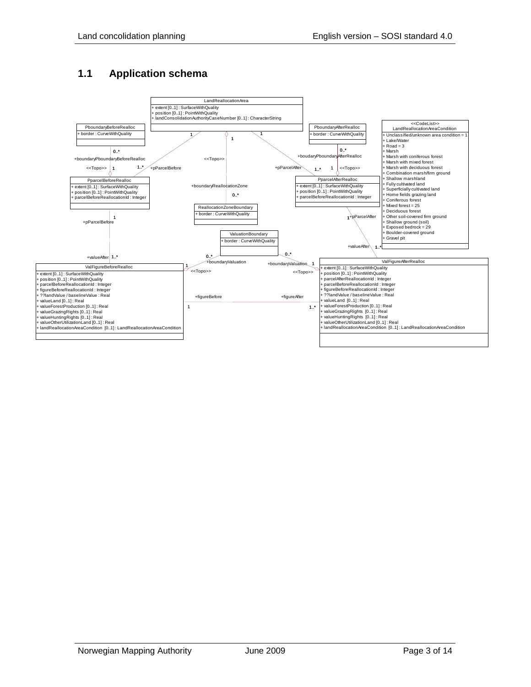## <span id="page-2-0"></span>**1.1 Application schema**

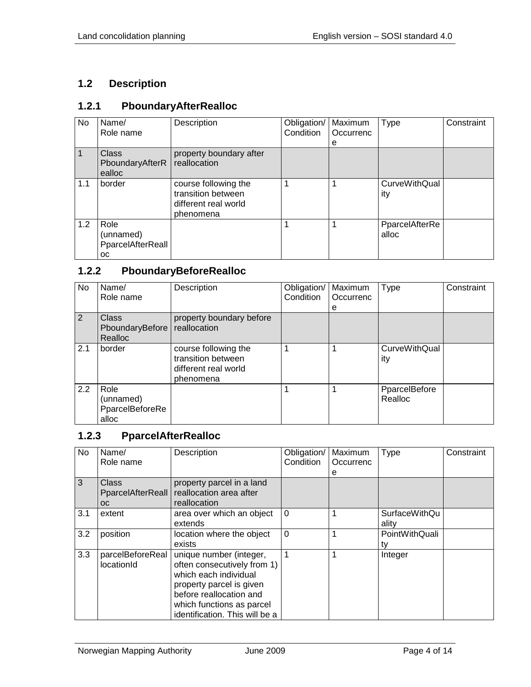# <span id="page-3-0"></span>**1.2 Description**

## <span id="page-3-1"></span>**1.2.1 PboundaryAfterRealloc**

| No  | Name/<br>Role name                           | Description                                                                     | Obligation/<br>Condition | Maximum<br>Occurrenc<br>е | <b>Type</b>                 | Constraint |
|-----|----------------------------------------------|---------------------------------------------------------------------------------|--------------------------|---------------------------|-----------------------------|------------|
|     | <b>Class</b><br>PboundaryAfterR<br>ealloc    | property boundary after<br>reallocation                                         |                          |                           |                             |            |
| 1.1 | border                                       | course following the<br>transition between<br>different real world<br>phenomena |                          |                           | <b>CurveWithQual</b><br>ity |            |
| 1.2 | Role<br>(unnamed)<br>PparcelAfterReall<br>OС |                                                                                 |                          |                           | PparcelAfterRe<br>alloc     |            |

# <span id="page-3-2"></span>**1.2.2 PboundaryBeforeRealloc**

| No. | Name/<br>Role name                            | Description                                                                     | Obligation/<br>Condition | Maximum<br>Occurrenc<br>е | Type                        | Constraint |
|-----|-----------------------------------------------|---------------------------------------------------------------------------------|--------------------------|---------------------------|-----------------------------|------------|
| 2   | <b>Class</b><br>PboundaryBefore<br>Realloc    | property boundary before<br>reallocation                                        |                          |                           |                             |            |
| 2.1 | border                                        | course following the<br>transition between<br>different real world<br>phenomena |                          |                           | <b>CurveWithQual</b><br>ity |            |
| 2.2 | Role<br>(unnamed)<br>PparcelBeforeRe<br>alloc |                                                                                 |                          |                           | PparcelBefore<br>Realloc    |            |

#### <span id="page-3-3"></span>**1.2.3 PparcelAfterRealloc**

| <b>No</b> | Name/<br>Role name                             | Description                                                                                                                                                                                           | Obligation/<br>Condition | Maximum<br>Occurrenc<br>е | Type                          | Constraint |
|-----------|------------------------------------------------|-------------------------------------------------------------------------------------------------------------------------------------------------------------------------------------------------------|--------------------------|---------------------------|-------------------------------|------------|
| 3         | <b>Class</b><br>PparcelAfterReall<br><b>OC</b> | property parcel in a land<br>reallocation area after<br>reallocation                                                                                                                                  |                          |                           |                               |            |
| 3.1       | extent                                         | area over which an object<br>extends                                                                                                                                                                  | $\Omega$                 |                           | <b>SurfaceWithQu</b><br>ality |            |
| 3.2       | position                                       | location where the object<br>exists                                                                                                                                                                   | $\mathbf 0$              |                           | PointWithQuali<br>tv          |            |
| 3.3       | parcelBeforeReal<br>locationId                 | unique number (integer,<br>often consecutively from 1)<br>which each individual<br>property parcel is given<br>before reallocation and<br>which functions as parcel<br>identification. This will be a |                          |                           | Integer                       |            |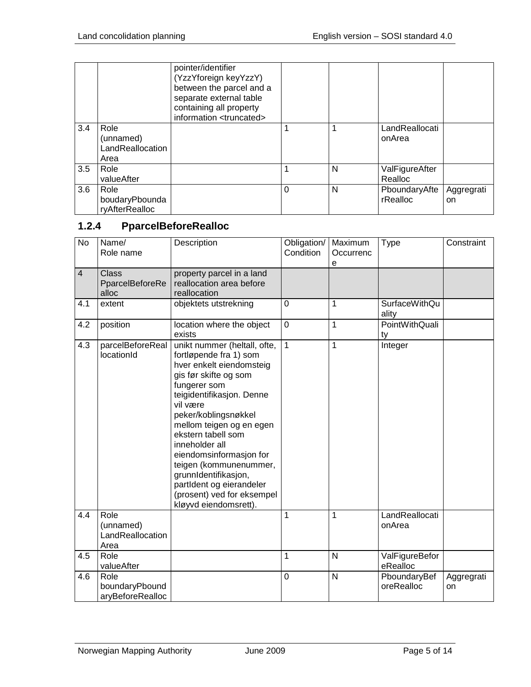|     |                                               | pointer/identifier<br>(YzzYforeign keyYzzY)<br>between the parcel and a<br>separate external table<br>containing all property<br>information <truncated></truncated> |   |   |                           |                  |
|-----|-----------------------------------------------|----------------------------------------------------------------------------------------------------------------------------------------------------------------------|---|---|---------------------------|------------------|
| 3.4 | Role<br>(unnamed)<br>LandReallocation<br>Area |                                                                                                                                                                      |   |   | LandReallocati<br>onArea  |                  |
| 3.5 | Role<br>valueAfter                            |                                                                                                                                                                      |   | N | ValFigureAfter<br>Realloc |                  |
| 3.6 | Role<br>boudaryPbounda<br>ryAfterRealloc      |                                                                                                                                                                      | 0 | N | PboundaryAfte<br>rRealloc | Aggregrati<br>on |

# <span id="page-4-0"></span>**1.2.4 PparcelBeforeRealloc**

| <b>No</b>      | Name/<br>Role name                            | Description                                                                                                                                                                                                                                                                                                                                                                                                                      | Obligation/<br>Condition | Maximum<br>Occurrenc<br>e | <b>Type</b>                   | Constraint       |
|----------------|-----------------------------------------------|----------------------------------------------------------------------------------------------------------------------------------------------------------------------------------------------------------------------------------------------------------------------------------------------------------------------------------------------------------------------------------------------------------------------------------|--------------------------|---------------------------|-------------------------------|------------------|
| $\overline{4}$ | <b>Class</b><br>PparcelBeforeRe<br>alloc      | property parcel in a land<br>reallocation area before<br>reallocation                                                                                                                                                                                                                                                                                                                                                            |                          |                           |                               |                  |
| 4.1            | extent                                        | objektets utstrekning                                                                                                                                                                                                                                                                                                                                                                                                            | $\mathbf 0$              | 1                         | <b>SurfaceWithQu</b><br>ality |                  |
| 4.2            | position                                      | location where the object<br>exists                                                                                                                                                                                                                                                                                                                                                                                              | $\mathbf 0$              | 1                         | PointWithQuali<br>ty          |                  |
| 4.3            | parcelBeforeReal<br>locationId                | unikt nummer (heltall, ofte,<br>fortløpende fra 1) som<br>hver enkelt eiendomsteig<br>gis før skifte og som<br>fungerer som<br>teigidentifikasjon. Denne<br>vil være<br>peker/koblingsnøkkel<br>mellom teigen og en egen<br>ekstern tabell som<br>inneholder all<br>eiendomsinformasjon for<br>teigen (kommunenummer,<br>grunnIdentifikasjon,<br>partIdent og eierandeler<br>(prosent) ved for eksempel<br>kløyvd eiendomsrett). | $\mathbf{1}$             | 1                         | Integer                       |                  |
| 4.4            | Role<br>(unnamed)<br>LandReallocation<br>Area |                                                                                                                                                                                                                                                                                                                                                                                                                                  | 1                        | 1                         | LandReallocati<br>onArea      |                  |
| 4.5            | Role<br>valueAfter                            |                                                                                                                                                                                                                                                                                                                                                                                                                                  | 1                        | N                         | ValFigureBefor<br>eRealloc    |                  |
| 4.6            | Role<br>boundaryPbound<br>aryBeforeRealloc    |                                                                                                                                                                                                                                                                                                                                                                                                                                  | $\overline{0}$           | N                         | PboundaryBef<br>oreRealloc    | Aggregrati<br>on |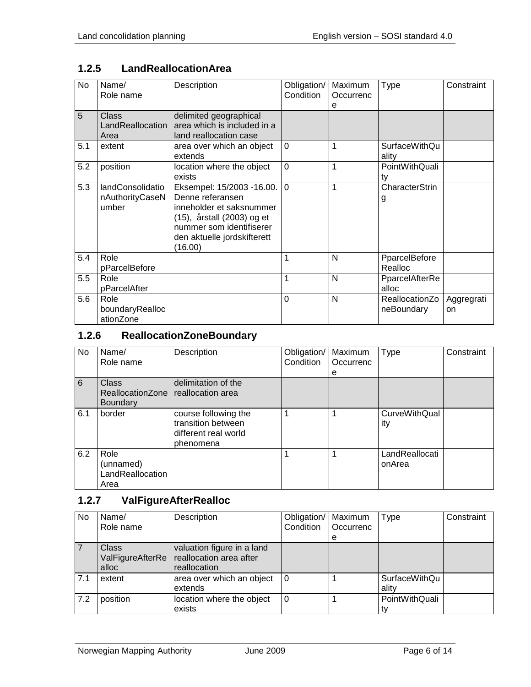| <b>No</b> | Name/<br>Role name                           | Description                                                                                                                                                                   | Obligation/<br>Condition | Maximum<br>Occurrenc<br>е | <b>Type</b>                  | Constraint       |
|-----------|----------------------------------------------|-------------------------------------------------------------------------------------------------------------------------------------------------------------------------------|--------------------------|---------------------------|------------------------------|------------------|
| 5         | Class<br>LandReallocation<br>Area            | delimited geographical<br>area which is included in a<br>land reallocation case                                                                                               |                          |                           |                              |                  |
| 5.1       | extent                                       | area over which an object<br>extends                                                                                                                                          | $\Omega$                 |                           | SurfaceWithQu<br>ality       |                  |
| 5.2       | position                                     | location where the object<br>exists                                                                                                                                           | $\overline{0}$           | 1                         | PointWithQuali<br>tv         |                  |
| 5.3       | landConsolidatio<br>nAuthorityCaseN<br>umber | Eksempel: 15/2003 -16.00.<br>Denne referansen<br>inneholder et saksnummer<br>(15), årstall (2003) og et<br>nummer som identifiserer<br>den aktuelle jordskifterett<br>(16.00) | $\Omega$                 | 1                         | CharacterStrin<br>g          |                  |
| 5.4       | Role<br>pParcelBefore                        |                                                                                                                                                                               |                          | N                         | PparcelBefore<br>Realloc     |                  |
| 5.5       | Role<br>pParcelAfter                         |                                                                                                                                                                               |                          | N                         | PparcelAfterRe<br>alloc      |                  |
| 5.6       | Role<br>boundaryRealloc<br>ationZone         |                                                                                                                                                                               | $\Omega$                 | N                         | ReallocationZo<br>neBoundary | Aggregrati<br>on |

# <span id="page-5-0"></span>**1.2.5 LandReallocationArea**

# <span id="page-5-1"></span>**1.2.6 ReallocationZoneBoundary**

| No  | Name/<br>Role name                            | Description                                                                     | Obligation/<br>Condition | Maximum<br>Occurrenc<br>е | <b>Type</b>                 | Constraint |
|-----|-----------------------------------------------|---------------------------------------------------------------------------------|--------------------------|---------------------------|-----------------------------|------------|
| 6   | Class<br>ReallocationZone<br><b>Boundary</b>  | delimitation of the<br>reallocation area                                        |                          |                           |                             |            |
| 6.1 | border                                        | course following the<br>transition between<br>different real world<br>phenomena |                          |                           | <b>CurveWithQual</b><br>ity |            |
| 6.2 | Role<br>(unnamed)<br>LandReallocation<br>Area |                                                                                 |                          |                           | LandReallocati<br>onArea    |            |

## <span id="page-5-2"></span>**1.2.7 ValFigureAfterRealloc**

| No. | Name/<br>Role name                        | Description                                                           | Obligation/<br>Condition | Maximum<br><b>Occurrenc</b><br>e | <b>Type</b>            | Constraint |
|-----|-------------------------------------------|-----------------------------------------------------------------------|--------------------------|----------------------------------|------------------------|------------|
|     | <b>Class</b><br>ValFigureAfterRe<br>alloc | valuation figure in a land<br>reallocation area after<br>reallocation |                          |                                  |                        |            |
| 7.1 | extent                                    | area over which an object<br>extends                                  | 0                        |                                  | SurfaceWithQu<br>ality |            |
| 7.2 | position                                  | location where the object<br>exists                                   | 0                        |                                  | PointWithQuali         |            |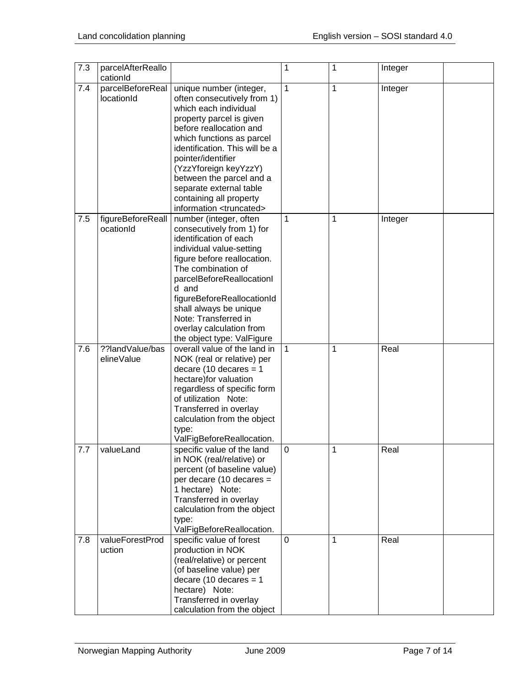| 7.3 | parcelAfterReallo              |                                                                                                                                                                                                                                                                                                                                                                               | 1              | 1 | Integer |  |
|-----|--------------------------------|-------------------------------------------------------------------------------------------------------------------------------------------------------------------------------------------------------------------------------------------------------------------------------------------------------------------------------------------------------------------------------|----------------|---|---------|--|
|     | cationId                       |                                                                                                                                                                                                                                                                                                                                                                               |                |   |         |  |
| 7.4 | parcelBeforeReal<br>locationId | unique number (integer,<br>often consecutively from 1)<br>which each individual<br>property parcel is given<br>before reallocation and<br>which functions as parcel<br>identification. This will be a<br>pointer/identifier<br>(YzzYforeign keyYzzY)<br>between the parcel and a<br>separate external table<br>containing all property<br>information <truncated></truncated> | 1              | 1 | Integer |  |
| 7.5 | figureBeforeReall<br>ocationId | number (integer, often<br>consecutively from 1) for<br>identification of each<br>individual value-setting<br>figure before reallocation.<br>The combination of<br>parcelBeforeReallocationI<br>d and<br>figureBeforeReallocationId<br>shall always be unique<br>Note: Transferred in<br>overlay calculation from<br>the object type: ValFigure                                | 1              | 1 | Integer |  |
| 7.6 | ??landValue/bas<br>elineValue  | overall value of the land in<br>NOK (real or relative) per<br>decare (10 decares $= 1$<br>hectare) for valuation<br>regardless of specific form<br>of utilization Note:<br>Transferred in overlay<br>calculation from the object<br>type:<br>ValFigBeforeReallocation.                                                                                                        | $\mathbf{1}$   | 1 | Real    |  |
| 7.7 | valueLand                      | specific value of the land<br>in NOK (real/relative) or<br>percent (of baseline value)<br>per decare (10 decares =<br>1 hectare) Note:<br>Transferred in overlay<br>calculation from the object<br>type:<br>ValFigBeforeReallocation.                                                                                                                                         | $\overline{0}$ | 1 | Real    |  |
| 7.8 | valueForestProd<br>uction      | specific value of forest<br>production in NOK<br>(real/relative) or percent<br>(of baseline value) per<br>decare $(10$ decares = 1<br>hectare) Note:<br>Transferred in overlay<br>calculation from the object                                                                                                                                                                 | $\mathbf 0$    | 1 | Real    |  |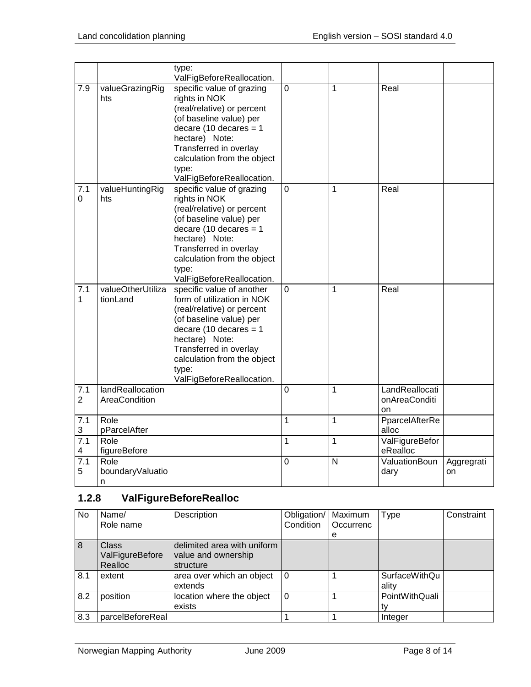|                       |                                   | type:<br>ValFigBeforeReallocation.                                                                                                                                                                                                                            |                |                |                                       |                  |
|-----------------------|-----------------------------------|---------------------------------------------------------------------------------------------------------------------------------------------------------------------------------------------------------------------------------------------------------------|----------------|----------------|---------------------------------------|------------------|
| 7.9                   | valueGrazingRig<br>hts            | specific value of grazing<br>rights in NOK<br>(real/relative) or percent<br>(of baseline value) per<br>decare (10 decares = $1$<br>hectare) Note:<br>Transferred in overlay<br>calculation from the object<br>type:<br>ValFigBeforeReallocation.              | $\overline{0}$ | 1              | Real                                  |                  |
| 7.1<br>$\mathbf 0$    | valueHuntingRig<br>hts            | specific value of grazing<br>rights in NOK<br>(real/relative) or percent<br>(of baseline value) per<br>decare (10 decares $= 1$<br>hectare) Note:<br>Transferred in overlay<br>calculation from the object<br>type:<br>ValFigBeforeReallocation.              | $\overline{0}$ | 1              | Real                                  |                  |
| 7.1<br>1              | valueOtherUtiliza<br>tionLand     | specific value of another<br>form of utilization in NOK<br>(real/relative) or percent<br>(of baseline value) per<br>decare (10 decares $= 1$<br>hectare) Note:<br>Transferred in overlay<br>calculation from the object<br>type:<br>ValFigBeforeReallocation. | $\mathbf 0$    | 1              | Real                                  |                  |
| 7.1<br>$\overline{2}$ | landReallocation<br>AreaCondition |                                                                                                                                                                                                                                                               | $\mathbf 0$    | 1              | LandReallocati<br>onAreaConditi<br>on |                  |
| 7.1<br>3              | Role<br>pParcelAfter              |                                                                                                                                                                                                                                                               | $\mathbf{1}$   | $\overline{1}$ | PparcelAfterRe<br>alloc               |                  |
| 7.1<br>4              | Role<br>figureBefore              |                                                                                                                                                                                                                                                               | $\overline{1}$ | $\overline{1}$ | ValFigureBefor<br>eRealloc            |                  |
| 7.1<br>5              | Role<br>boundaryValuatio<br>n     |                                                                                                                                                                                                                                                               | $\mathbf 0$    | N              | ValuationBoun<br>dary                 | Aggregrati<br>on |

# <span id="page-7-0"></span>**1.2.8 ValFigureBeforeRealloc**

| No  | Name/            | Description                 | Obligation/ | Maximum   | <b>Type</b>    | Constraint |
|-----|------------------|-----------------------------|-------------|-----------|----------------|------------|
|     | Role name        |                             | Condition   | Occurrenc |                |            |
|     |                  |                             |             | e         |                |            |
| 8   | <b>Class</b>     | delimited area with uniform |             |           |                |            |
|     | ValFigureBefore  | value and ownership         |             |           |                |            |
|     | Realloc          | structure                   |             |           |                |            |
| 8.1 | extent           | area over which an object   | $\Omega$    |           | SurfaceWithQu  |            |
|     |                  | extends                     |             |           | ality          |            |
| 8.2 | position         | location where the object   | $\Omega$    |           | PointWithQuali |            |
|     |                  | exists                      |             |           |                |            |
| 8.3 | parcelBeforeReal |                             |             |           | Integer        |            |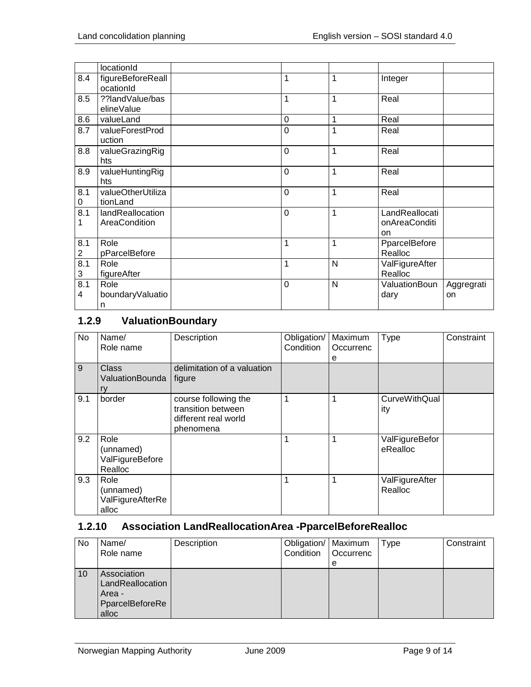|                                | locationId                        |                  |                |                                       |                  |
|--------------------------------|-----------------------------------|------------------|----------------|---------------------------------------|------------------|
| 8.4                            | figureBeforeReall<br>ocationId    | 1                | 1              | Integer                               |                  |
| 8.5                            | ??landValue/bas<br>elineValue     | 1                | 1              | Real                                  |                  |
| 8.6                            | valueLand                         | $\boldsymbol{0}$ | 1              | Real                                  |                  |
| 8.7                            | valueForestProd<br>uction         | $\overline{0}$   | $\overline{1}$ | Real                                  |                  |
| 8.8                            | valueGrazingRig<br>hts            | $\mathbf 0$      | 1              | Real                                  |                  |
| 8.9                            | valueHuntingRig<br>hts            | $\mathbf 0$      | 1              | Real                                  |                  |
| 8.1<br>0                       | valueOtherUtiliza<br>tionLand     | $\mathbf 0$      | 1              | Real                                  |                  |
| 8.1<br>1                       | landReallocation<br>AreaCondition | $\mathbf 0$      | 1              | LandReallocati<br>onAreaConditi<br>on |                  |
| 8.1<br>$\overline{\mathbf{c}}$ | Role<br>pParcelBefore             | 1                | 1              | PparcelBefore<br>Realloc              |                  |
| 8.1<br>3                       | Role<br>figureAfter               | 1                | N              | ValFigureAfter<br>Realloc             |                  |
| 8.1<br>4                       | Role<br>boundaryValuatio<br>n     | $\mathbf 0$      | N              | ValuationBoun<br>dary                 | Aggregrati<br>on |

# <span id="page-8-0"></span>**1.2.9 ValuationBoundary**

| No  | Name/<br>Role name                              | Description                                                                     | Obligation/<br>Condition | Maximum<br>Occurrenc<br>е | Type                        | Constraint |
|-----|-------------------------------------------------|---------------------------------------------------------------------------------|--------------------------|---------------------------|-----------------------------|------------|
| 9   | <b>Class</b><br>ValuationBounda<br>ry           | delimitation of a valuation<br>figure                                           |                          |                           |                             |            |
| 9.1 | border                                          | course following the<br>transition between<br>different real world<br>phenomena | 1                        | 1                         | <b>CurveWithQual</b><br>ity |            |
| 9.2 | Role<br>(unnamed)<br>ValFigureBefore<br>Realloc |                                                                                 | 1                        | 1                         | ValFigureBefor<br>eRealloc  |            |
| 9.3 | Role<br>(unnamed)<br>ValFigureAfterRe<br>alloc  |                                                                                 | 1                        | 1                         | ValFigureAfter<br>Realloc   |            |

# <span id="page-8-1"></span>**1.2.10 Association LandReallocationArea -PparcelBeforeRealloc**

| No | Name/<br>Role name                                                    | Description | Obligation/   Maximum<br>Condition | Occurrenc<br>e | Type | Constraint |
|----|-----------------------------------------------------------------------|-------------|------------------------------------|----------------|------|------------|
| 10 | Association<br>LandReallocation<br>Area -<br>PparcelBeforeRe<br>alloc |             |                                    |                |      |            |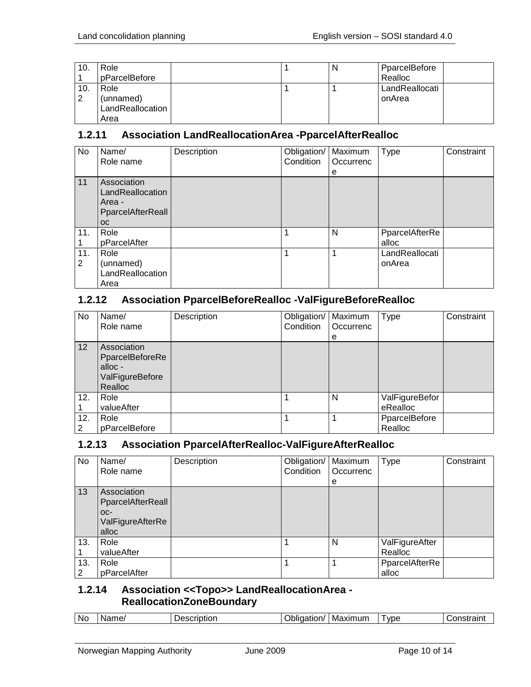| 10.      | Role<br>pParcelBefore                         |  | N | PparcelBefore<br>Realloc |
|----------|-----------------------------------------------|--|---|--------------------------|
| 10.<br>2 | Role<br>(unnamed)<br>LandReallocation<br>Area |  |   | LandReallocati<br>onArea |

## <span id="page-9-0"></span>**1.2.11 Association LandReallocationArea -PparcelAfterRealloc**

| <b>No</b> | Name/<br>Role name                                                          | Description | Obligation/<br>Condition | Maximum<br>Occurrenc<br>е | <b>Type</b>              | Constraint |
|-----------|-----------------------------------------------------------------------------|-------------|--------------------------|---------------------------|--------------------------|------------|
| 11        | Association<br>LandReallocation<br>Area -<br>PparcelAfterReall<br><b>OC</b> |             |                          |                           |                          |            |
| 11.       | Role<br>pParcelAfter                                                        |             |                          | N                         | PparcelAfterRe<br>alloc  |            |
| 11.<br>2  | Role<br>(unnamed)<br>LandReallocation<br>Area                               |             |                          |                           | LandReallocati<br>onArea |            |

## <span id="page-9-1"></span>**1.2.12 Association PparcelBeforeRealloc -ValFigureBeforeRealloc**

| No       | Name/<br>Role name                                                     | Description | Obligation/<br>Condition | Maximum<br>Occurrenc | <b>Type</b>                | Constraint |
|----------|------------------------------------------------------------------------|-------------|--------------------------|----------------------|----------------------------|------------|
|          |                                                                        |             |                          | e                    |                            |            |
| 12       | Association<br>PparcelBeforeRe<br>alloc-<br>ValFigureBefore<br>Realloc |             |                          |                      |                            |            |
| 12.      | Role<br>valueAfter                                                     |             |                          | N                    | ValFigureBefor<br>eRealloc |            |
| 12.<br>2 | Role<br>pParcelBefore                                                  |             |                          |                      | PparcelBefore<br>Realloc   |            |

#### <span id="page-9-2"></span>**1.2.13 Association PparcelAfterRealloc-ValFigureAfterRealloc**

| No       | Name/<br>Role name                                                   | Description | Obligation/<br>Condition | Maximum<br>Occurrenc<br>e | <b>Type</b>               | Constraint |
|----------|----------------------------------------------------------------------|-------------|--------------------------|---------------------------|---------------------------|------------|
| 13       | Association<br>PparcelAfterReall<br>OC-<br>ValFigureAfterRe<br>alloc |             |                          |                           |                           |            |
| 13.      | Role<br>valueAfter                                                   |             |                          | N                         | ValFigureAfter<br>Realloc |            |
| 13.<br>2 | Role<br>pParcelAfter                                                 |             |                          |                           | PparcelAfterRe<br>alloc   |            |

## <span id="page-9-3"></span>**1.2.14 Association <<Topo>> LandReallocationArea - ReallocationZoneBoundary**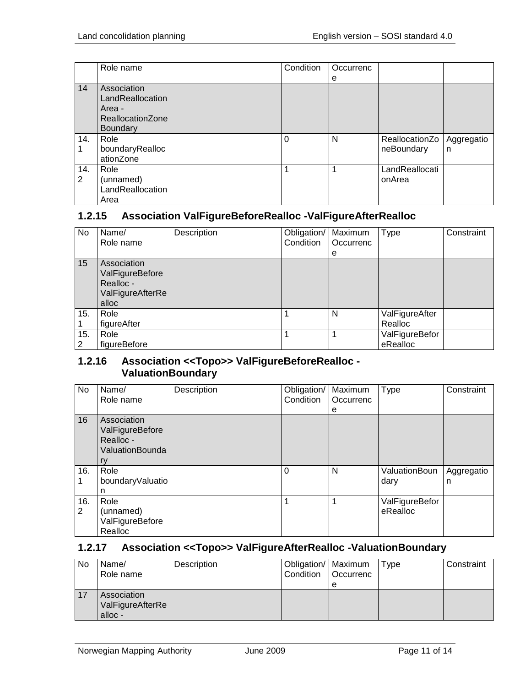|          | Role name                                                                        | Condition | Occurrenc |                              |                 |
|----------|----------------------------------------------------------------------------------|-----------|-----------|------------------------------|-----------------|
|          |                                                                                  |           | е         |                              |                 |
| 14       | Association<br>LandReallocation<br>Area -<br>ReallocationZone<br><b>Boundary</b> |           |           |                              |                 |
| 14.      | Role<br>boundaryRealloc<br>ationZone                                             | $\Omega$  | N         | ReallocationZo<br>neBoundary | Aggregatio<br>n |
| 14.<br>2 | Role<br>(unnamed)<br>LandReallocation<br>Area                                    |           |           | LandReallocati<br>onArea     |                 |

### <span id="page-10-0"></span>**1.2.15 Association ValFigureBeforeRealloc -ValFigureAfterRealloc**

| No       | Name/<br>Role name                                                       | Description | Obligation/<br>Condition | Maximum<br>Occurrenc<br>e | <b>Type</b>                | Constraint |
|----------|--------------------------------------------------------------------------|-------------|--------------------------|---------------------------|----------------------------|------------|
| 15       | Association<br>ValFigureBefore<br>Realloc -<br>ValFigureAfterRe<br>alloc |             |                          |                           |                            |            |
| 15.      | Role<br>figureAfter                                                      |             |                          | N                         | ValFigureAfter<br>Realloc  |            |
| 15.<br>2 | Role<br>figureBefore                                                     |             |                          |                           | ValFigureBefor<br>eRealloc |            |

## <span id="page-10-1"></span>**1.2.16 Association <<Topo>> ValFigureBeforeRealloc - ValuationBoundary**

| <b>No</b> | Name/<br>Role name                                                   | Description | Obligation/<br>Condition | Maximum<br>Occurrenc<br>е | Type                       | Constraint      |
|-----------|----------------------------------------------------------------------|-------------|--------------------------|---------------------------|----------------------------|-----------------|
| 16        | Association<br>ValFigureBefore<br>Realloc -<br>ValuationBounda<br>ry |             |                          |                           |                            |                 |
| 16.       | Role<br>boundaryValuatio<br>n                                        |             | $\Omega$                 | N                         | ValuationBoun<br>dary      | Aggregatio<br>n |
| 16.<br>2  | Role<br>(unnamed)<br>ValFigureBefore<br>Realloc                      |             |                          | 1                         | ValFigureBefor<br>eRealloc |                 |

## <span id="page-10-2"></span>**1.2.17 Association <<Topo>> ValFigureAfterRealloc -ValuationBoundary**

| No | Name/            | Description | Obligation/   Maximum |           | Type | Constraint |
|----|------------------|-------------|-----------------------|-----------|------|------------|
|    | Role name        |             | Condition             | Occurrenc |      |            |
|    |                  |             |                       | е         |      |            |
| 17 | Association      |             |                       |           |      |            |
|    | ValFigureAfterRe |             |                       |           |      |            |
|    | alloc -          |             |                       |           |      |            |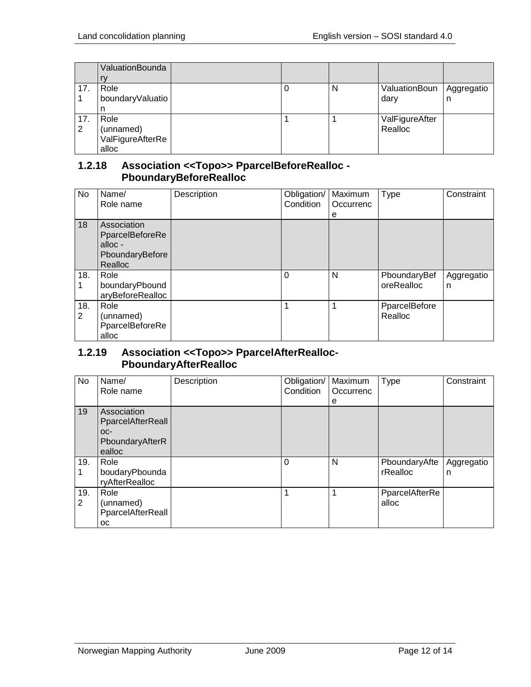|     | ValuationBounda  |  |   |                |            |
|-----|------------------|--|---|----------------|------------|
|     | rv               |  |   |                |            |
| 17. | Role             |  | N | ValuationBoun  | Aggregatio |
|     | boundaryValuatio |  |   | dary           | n          |
|     | n                |  |   |                |            |
| 17. | Role             |  |   | ValFigureAfter |            |
| 2   | (unnamed)        |  |   | Realloc        |            |
|     | ValFigureAfterRe |  |   |                |            |
|     | alloc            |  |   |                |            |

#### <span id="page-11-0"></span>**1.2.18 Association <<Topo>> PparcelBeforeRealloc - PboundaryBeforeRealloc**

| <b>No</b> | Name/<br>Role name                                                      | Description | Obligation/<br>Condition | Maximum<br>Occurrenc<br>е | <b>Type</b>                | Constraint      |
|-----------|-------------------------------------------------------------------------|-------------|--------------------------|---------------------------|----------------------------|-----------------|
| 18        | Association<br>PparcelBeforeRe<br>alloc -<br>PboundaryBefore<br>Realloc |             |                          |                           |                            |                 |
| 18.       | Role<br>boundaryPbound<br>aryBeforeRealloc                              |             | $\Omega$                 | N                         | PboundaryBef<br>oreRealloc | Aggregatio<br>n |
| 18.<br>2  | Role<br>(unnamed)<br>PparcelBeforeRe<br>alloc                           |             |                          |                           | PparcelBefore<br>Realloc   |                 |

## <span id="page-11-1"></span>**1.2.19 Association <<Topo>> PparcelAfterRealloc-PboundaryAfterRealloc**

| No                    | Name/<br>Role name                                                     | Description | Obligation/<br>Condition | Maximum<br>Occurrenc<br>е | <b>Type</b>               | Constraint      |
|-----------------------|------------------------------------------------------------------------|-------------|--------------------------|---------------------------|---------------------------|-----------------|
| 19                    | Association<br>PparcelAfterReall<br>$OC-$<br>PboundaryAfterR<br>ealloc |             |                          |                           |                           |                 |
| 19.                   | Role<br>boudaryPbounda<br>ryAfterRealloc                               |             | $\Omega$                 | N                         | PboundaryAfte<br>rRealloc | Aggregatio<br>n |
| 19.<br>$\overline{2}$ | Role<br>(unnamed)<br>PparcelAfterReall<br><b>OC</b>                    |             | 1                        | 1                         | PparcelAfterRe<br>alloc   |                 |